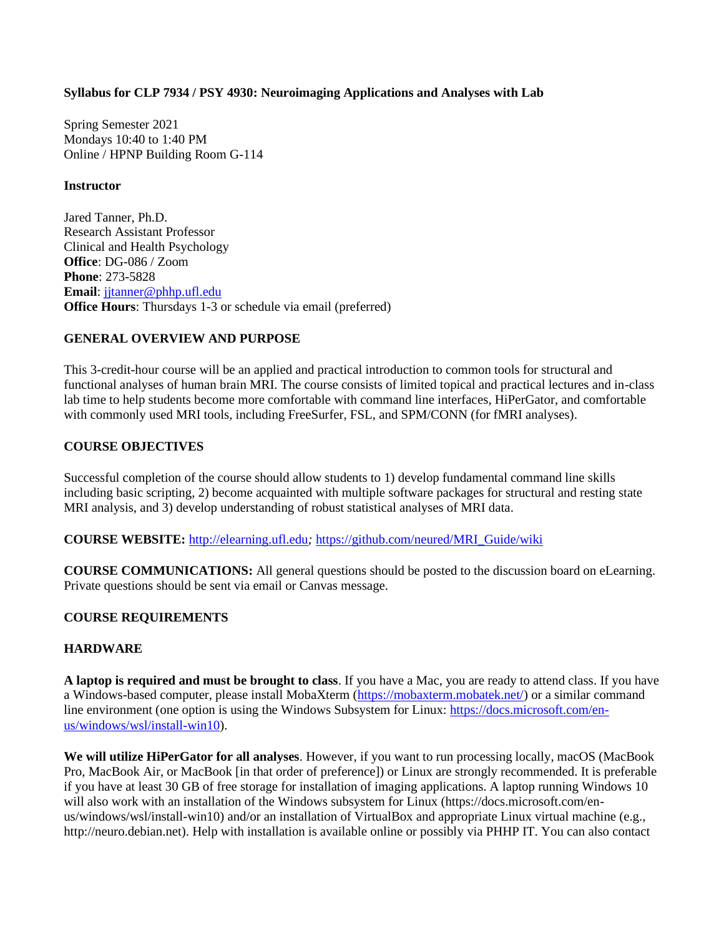#### **Syllabus for CLP 7934 / PSY 4930: Neuroimaging Applications and Analyses with Lab**

Spring Semester 2021 Mondays 10:40 to 1:40 PM Online / HPNP Building Room G-114

#### **Instructor**

Jared Tanner, Ph.D. Research Assistant Professor Clinical and Health Psychology **Office**: DG-086 / Zoom **Phone**: 273-5828 **Email**: [jjtanner@phhp.ufl.edu](mailto:jjtanner@phhp.ufl.edu) **Office Hours**: Thursdays 1-3 or schedule via email (preferred)

### **GENERAL OVERVIEW AND PURPOSE**

This 3-credit-hour course will be an applied and practical introduction to common tools for structural and functional analyses of human brain MRI. The course consists of limited topical and practical lectures and in-class lab time to help students become more comfortable with command line interfaces, HiPerGator, and comfortable with commonly used MRI tools, including FreeSurfer, FSL, and SPM/CONN (for fMRI analyses).

### **COURSE OBJECTIVES**

Successful completion of the course should allow students to 1) develop fundamental command line skills including basic scripting, 2) become acquainted with multiple software packages for structural and resting state MRI analysis, and 3) develop understanding of robust statistical analyses of MRI data.

**COURSE WEBSITE:** [http://elearning.ufl.edu](http://elearning.ufl.edu/)*;* [https://github.com/neured/MRI\\_Guide/wiki](https://github.com/neured/MRI_Guide/wiki)

**COURSE COMMUNICATIONS:** All general questions should be posted to the discussion board on eLearning. Private questions should be sent via email or Canvas message.

### **COURSE REQUIREMENTS**

### **HARDWARE**

A laptop is required and must be brought to class. If you have a Mac, you are ready to attend class. If you have a Windows-based computer, please install MobaXterm [\(https://mobaxterm.mobatek.net/\)](https://mobaxterm.mobatek.net/) or a similar command line environment (one option is using the Windows Subsystem for Linux: [https://docs.microsoft.com/en](https://docs.microsoft.com/en-us/windows/wsl/install-win10)[us/windows/wsl/install-win10\)](https://docs.microsoft.com/en-us/windows/wsl/install-win10).

**We will utilize HiPerGator for all analyses**. However, if you want to run processing locally, macOS (MacBook Pro, MacBook Air, or MacBook [in that order of preference]) or Linux are strongly recommended. It is preferable if you have at least 30 GB of free storage for installation of imaging applications. A laptop running Windows 10 will also work with an installation of the Windows subsystem for Linux (https://docs.microsoft.com/enus/windows/wsl/install-win10) and/or an installation of VirtualBox and appropriate Linux virtual machine (e.g., http://neuro.debian.net). Help with installation is available online or possibly via PHHP IT. You can also contact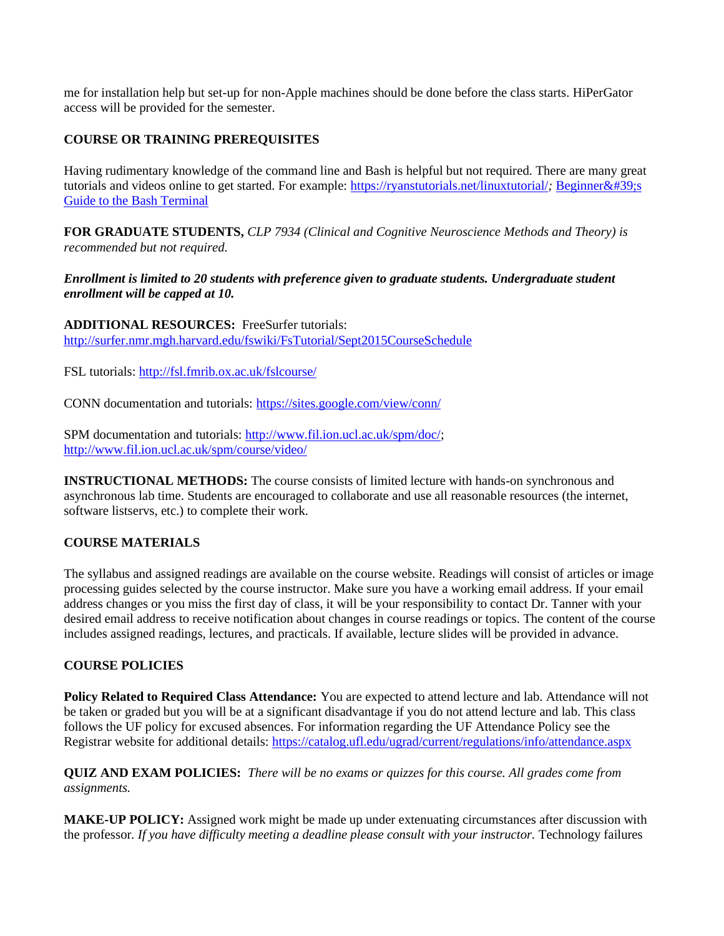me for installation help but set-up for non-Apple machines should be done before the class starts. HiPerGator access will be provided for the semester.

### **COURSE OR TRAINING PREREQUISITES**

Having rudimentary knowledge of the command line and Bash is helpful but not required. There are many great tutorials and videos online to get started. For example:<https://ryanstutorials.net/linuxtutorial/>; Beginner's [Guide to the Bash Terminal](https://www.youtube.com/watch?v=oxuRxtrO2Ag)

**FOR GRADUATE STUDENTS,** *CLP 7934 (Clinical and Cognitive Neuroscience Methods and Theory) is recommended but not required.*

*Enrollment is limited to 20 students with preference given to graduate students. Undergraduate student enrollment will be capped at 10.*

**ADDITIONAL RESOURCES:** FreeSurfer tutorials: <http://surfer.nmr.mgh.harvard.edu/fswiki/FsTutorial/Sept2015CourseSchedule>

FSL tutorials:<http://fsl.fmrib.ox.ac.uk/fslcourse/>

CONN documentation and tutorials:<https://sites.google.com/view/conn/>

SPM documentation and tutorials: [http://www.fil.ion.ucl.ac.uk/spm/doc/;](http://www.fil.ion.ucl.ac.uk/spm/doc/) <http://www.fil.ion.ucl.ac.uk/spm/course/video/>

**INSTRUCTIONAL METHODS:** The course consists of limited lecture with hands-on synchronous and asynchronous lab time. Students are encouraged to collaborate and use all reasonable resources (the internet, software listservs, etc.) to complete their work.

### **COURSE MATERIALS**

The syllabus and assigned readings are available on the course website. Readings will consist of articles or image processing guides selected by the course instructor. Make sure you have a working email address. If your email address changes or you miss the first day of class, it will be your responsibility to contact Dr. Tanner with your desired email address to receive notification about changes in course readings or topics. The content of the course includes assigned readings, lectures, and practicals. If available, lecture slides will be provided in advance.

### **COURSE POLICIES**

**Policy Related to Required Class Attendance:** You are expected to attend lecture and lab. Attendance will not be taken or graded but you will be at a significant disadvantage if you do not attend lecture and lab. This class follows the UF policy for excused absences. For information regarding the UF Attendance Policy see the Registrar website for additional details:<https://catalog.ufl.edu/ugrad/current/regulations/info/attendance.aspx>

**QUIZ AND EXAM POLICIES:** *There will be no exams or quizzes for this course. All grades come from assignments.*

**MAKE-UP POLICY:** Assigned work might be made up under extenuating circumstances after discussion with the professor*. If you have difficulty meeting a deadline please consult with your instructor.* Technology failures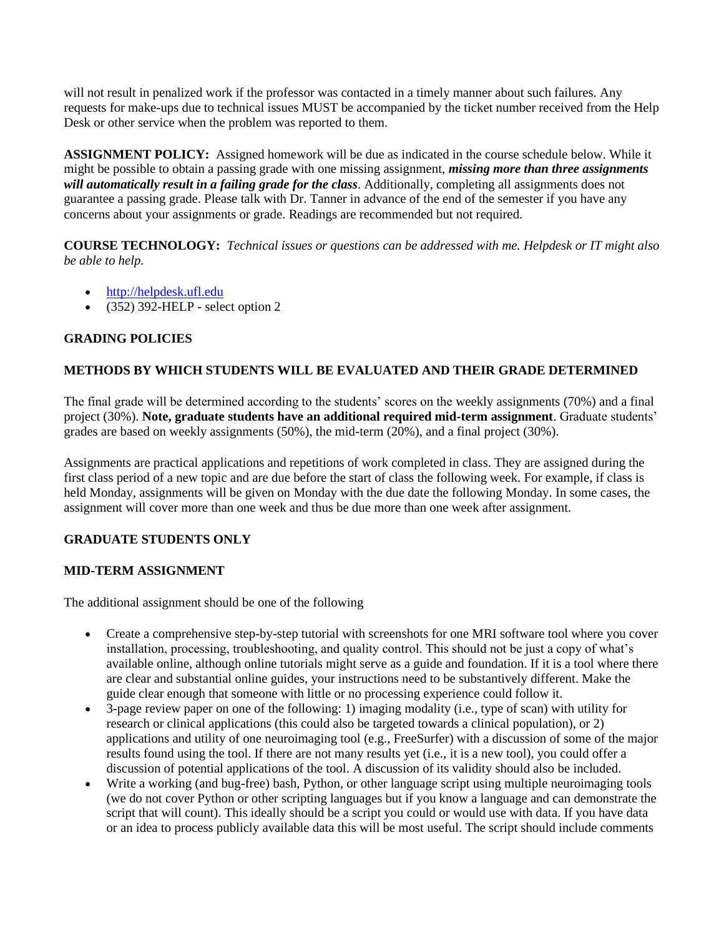will not result in penalized work if the professor was contacted in a timely manner about such failures. Any requests for make-ups due to technical issues MUST be accompanied by the ticket number received from the Help Desk or other service when the problem was reported to them.

**ASSIGNMENT POLICY:** Assigned homework will be due as indicated in the course schedule below. While it might be possible to obtain a passing grade with one missing assignment, *missing more than three assignments will automatically result in a failing grade for the class*. Additionally, completing all assignments does not guarantee a passing grade. Please talk with Dr. Tanner in advance of the end of the semester if you have any concerns about your assignments or grade. Readings are recommended but not required.

**COURSE TECHNOLOGY:** *Technical issues or questions can be addressed with me. Helpdesk or IT might also be able to help.*

- [http://helpdesk.ufl.edu](http://helpdesk.ufl.edu/)
- (352) 392-HELP select option 2

# **GRADING POLICIES**

## **METHODS BY WHICH STUDENTS WILL BE EVALUATED AND THEIR GRADE DETERMINED**

The final grade will be determined according to the students' scores on the weekly assignments (70%) and a final project (30%). **Note, graduate students have an additional required mid-term assignment**. Graduate students' grades are based on weekly assignments (50%), the mid-term (20%), and a final project (30%).

Assignments are practical applications and repetitions of work completed in class. They are assigned during the first class period of a new topic and are due before the start of class the following week. For example, if class is held Monday, assignments will be given on Monday with the due date the following Monday. In some cases, the assignment will cover more than one week and thus be due more than one week after assignment.

## **GRADUATE STUDENTS ONLY**

### **MID-TERM ASSIGNMENT**

The additional assignment should be one of the following

- Create a comprehensive step-by-step tutorial with screenshots for one MRI software tool where you cover installation, processing, troubleshooting, and quality control. This should not be just a copy of what's available online, although online tutorials might serve as a guide and foundation. If it is a tool where there are clear and substantial online guides, your instructions need to be substantively different. Make the guide clear enough that someone with little or no processing experience could follow it.
- 3-page review paper on one of the following: 1) imaging modality (i.e., type of scan) with utility for research or clinical applications (this could also be targeted towards a clinical population), or 2) applications and utility of one neuroimaging tool (e.g., FreeSurfer) with a discussion of some of the major results found using the tool. If there are not many results yet (i.e., it is a new tool), you could offer a discussion of potential applications of the tool. A discussion of its validity should also be included.
- Write a working (and bug-free) bash, Python, or other language script using multiple neuroimaging tools (we do not cover Python or other scripting languages but if you know a language and can demonstrate the script that will count). This ideally should be a script you could or would use with data. If you have data or an idea to process publicly available data this will be most useful. The script should include comments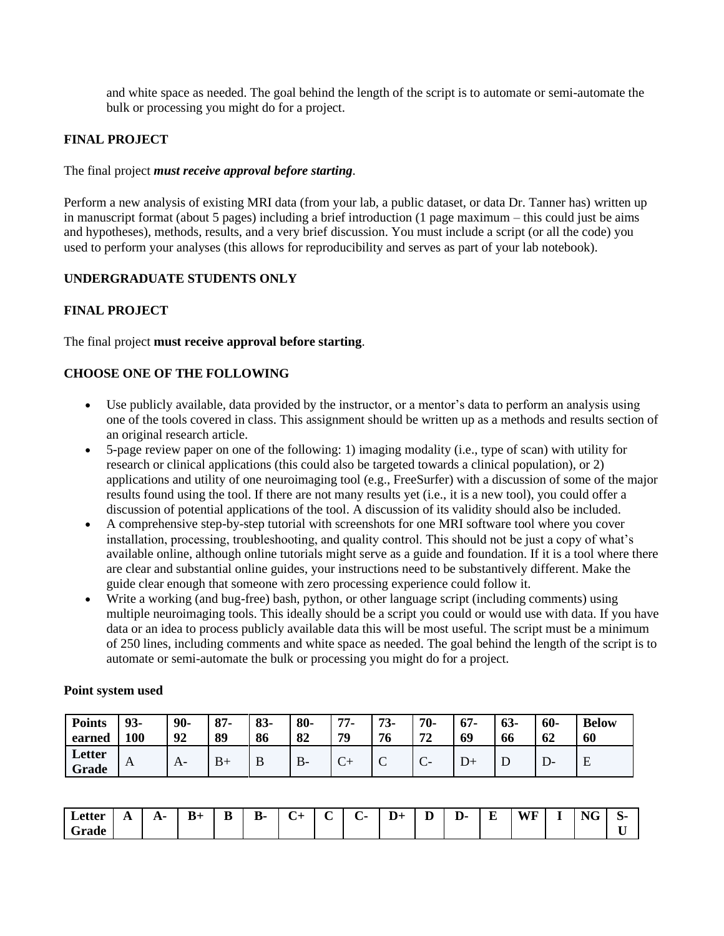and white space as needed. The goal behind the length of the script is to automate or semi-automate the bulk or processing you might do for a project.

## **FINAL PROJECT**

#### The final project *must receive approval before starting*.

Perform a new analysis of existing MRI data (from your lab, a public dataset, or data Dr. Tanner has) written up in manuscript format (about 5 pages) including a brief introduction (1 page maximum – this could just be aims and hypotheses), methods, results, and a very brief discussion. You must include a script (or all the code) you used to perform your analyses (this allows for reproducibility and serves as part of your lab notebook).

### **UNDERGRADUATE STUDENTS ONLY**

### **FINAL PROJECT**

The final project **must receive approval before starting**.

### **CHOOSE ONE OF THE FOLLOWING**

- Use publicly available, data provided by the instructor, or a mentor's data to perform an analysis using one of the tools covered in class. This assignment should be written up as a methods and results section of an original research article.
- 5-page review paper on one of the following: 1) imaging modality (i.e., type of scan) with utility for research or clinical applications (this could also be targeted towards a clinical population), or 2) applications and utility of one neuroimaging tool (e.g., FreeSurfer) with a discussion of some of the major results found using the tool. If there are not many results yet (i.e., it is a new tool), you could offer a discussion of potential applications of the tool. A discussion of its validity should also be included.
- A comprehensive step-by-step tutorial with screenshots for one MRI software tool where you cover installation, processing, troubleshooting, and quality control. This should not be just a copy of what's available online, although online tutorials might serve as a guide and foundation. If it is a tool where there are clear and substantial online guides, your instructions need to be substantively different. Make the guide clear enough that someone with zero processing experience could follow it.
- Write a working (and bug-free) bash, python, or other language script (including comments) using multiple neuroimaging tools. This ideally should be a script you could or would use with data. If you have data or an idea to process publicly available data this will be most useful. The script must be a minimum of 250 lines, including comments and white space as needed. The goal behind the length of the script is to automate or semi-automate the bulk or processing you might do for a project.

| <b>Points</b><br>earned | 93-<br>100   | 90-<br>92    | $87 -$<br>89 | 83-<br>86 | 80-<br>82 | 77-<br>79 | 72<br>$13-$<br>76 | 70-<br>70 | $67 -$<br>69 | $63-$<br>66 | $60 -$<br>62 | <b>Below</b><br>60 |
|-------------------------|--------------|--------------|--------------|-----------|-----------|-----------|-------------------|-----------|--------------|-------------|--------------|--------------------|
| Letter<br>Grade         | $\mathbf{A}$ | $\mathbf{A}$ |              |           |           |           |                   | ◡         |              |             |              | E                  |

#### **Point system used**

| $\overline{\phantom{a}}$<br>Letter | A | A. | $B+$ | B | <b>B-</b> | ~<br>÷<br>◡ | $\sim$ | $\sim$ | $D+$ | $\overline{\phantom{0}}$<br>- | $\overline{\phantom{a}}$<br>D- 1 | E | WE<br><b>.</b> | - | $\sim$ $\sim$<br>NG | $\sim$<br>.ত- |
|------------------------------------|---|----|------|---|-----------|-------------|--------|--------|------|-------------------------------|----------------------------------|---|----------------|---|---------------------|---------------|
| ∼<br>Grade                         |   |    |      |   |           |             |        |        |      |                               |                                  |   |                |   |                     | $ -$          |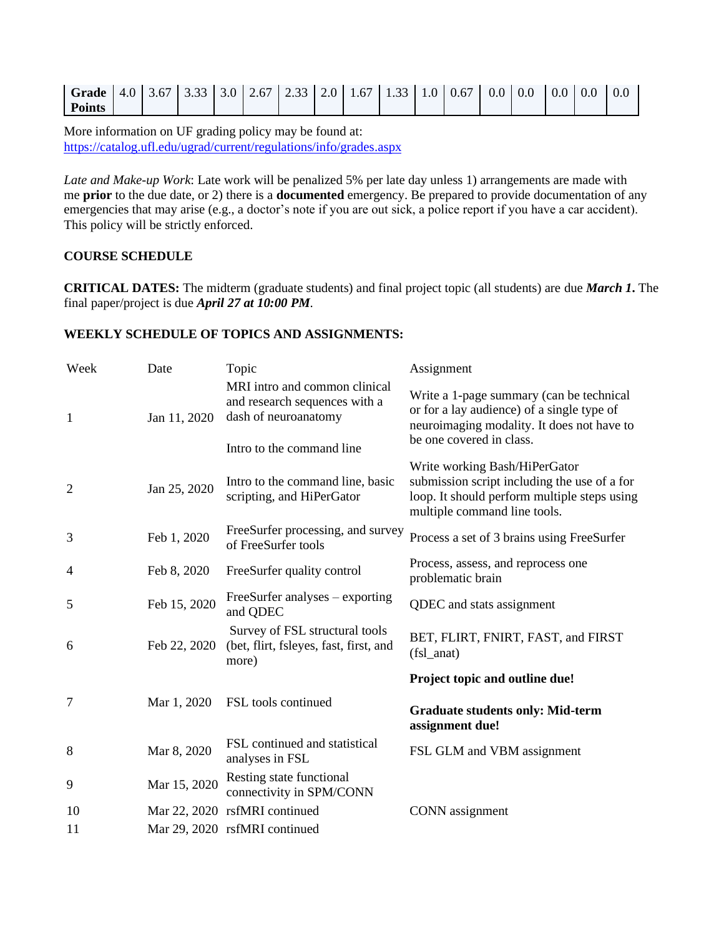| <b>Grade</b> $\begin{bmatrix} 4.0 & 3.67 & 3.33 & 3.0 & 2.67 & 2.33 & 2.0 & 1.67 & 1.33 & 1.0 & 0.67 & 0.0 & 0.0 \end{bmatrix}$ |  |  |  |  |  |  |  |  |
|---------------------------------------------------------------------------------------------------------------------------------|--|--|--|--|--|--|--|--|
| <b>Points</b>                                                                                                                   |  |  |  |  |  |  |  |  |

More information on UF grading policy may be found at: <https://catalog.ufl.edu/ugrad/current/regulations/info/grades.aspx>

*Late and Make-up Work*: Late work will be penalized 5% per late day unless 1) arrangements are made with me **prior** to the due date, or 2) there is a **documented** emergency. Be prepared to provide documentation of any emergencies that may arise (e.g., a doctor's note if you are out sick, a police report if you have a car accident). This policy will be strictly enforced.

## **COURSE SCHEDULE**

**CRITICAL DATES:** The midterm (graduate students) and final project topic (all students) are due *March 1***.** The final paper/project is due *April 27 at 10:00 PM.*

### **WEEKLY SCHEDULE OF TOPICS AND ASSIGNMENTS:**

| Week           | Date         | Topic                                                                                                               | Assignment                                                                                                                                                       |
|----------------|--------------|---------------------------------------------------------------------------------------------------------------------|------------------------------------------------------------------------------------------------------------------------------------------------------------------|
| $\mathbf{1}$   | Jan 11, 2020 | MRI intro and common clinical<br>and research sequences with a<br>dash of neuroanatomy<br>Intro to the command line | Write a 1-page summary (can be technical<br>or for a lay audience) of a single type of<br>neuroimaging modality. It does not have to<br>be one covered in class. |
| $\overline{2}$ | Jan 25, 2020 | Intro to the command line, basic<br>scripting, and HiPerGator                                                       | Write working Bash/HiPerGator<br>submission script including the use of a for<br>loop. It should perform multiple steps using<br>multiple command line tools.    |
| 3              | Feb 1, 2020  | FreeSurfer processing, and survey<br>of FreeSurfer tools                                                            | Process a set of 3 brains using FreeSurfer                                                                                                                       |
| $\overline{4}$ | Feb 8, 2020  | FreeSurfer quality control                                                                                          | Process, assess, and reprocess one<br>problematic brain                                                                                                          |
| 5              | Feb 15, 2020 | FreeSurfer analyses – exporting<br>and QDEC                                                                         | QDEC and stats assignment                                                                                                                                        |
| 6              | Feb 22, 2020 | Survey of FSL structural tools<br>(bet, flirt, fsleyes, fast, first, and<br>more)                                   | BET, FLIRT, FNIRT, FAST, and FIRST<br>$(fsl\_anat)$                                                                                                              |
|                |              |                                                                                                                     | Project topic and outline due!                                                                                                                                   |
| 7              | Mar 1, 2020  | FSL tools continued                                                                                                 | <b>Graduate students only: Mid-term</b><br>assignment due!                                                                                                       |
| 8              | Mar 8, 2020  | FSL continued and statistical<br>analyses in FSL                                                                    | FSL GLM and VBM assignment                                                                                                                                       |
| 9              | Mar 15, 2020 | Resting state functional<br>connectivity in SPM/CONN                                                                |                                                                                                                                                                  |
| 10             |              | Mar 22, 2020 rsfMRI continued                                                                                       | <b>CONN</b> assignment                                                                                                                                           |
| 11             |              | Mar 29, 2020 rsfMRI continued                                                                                       |                                                                                                                                                                  |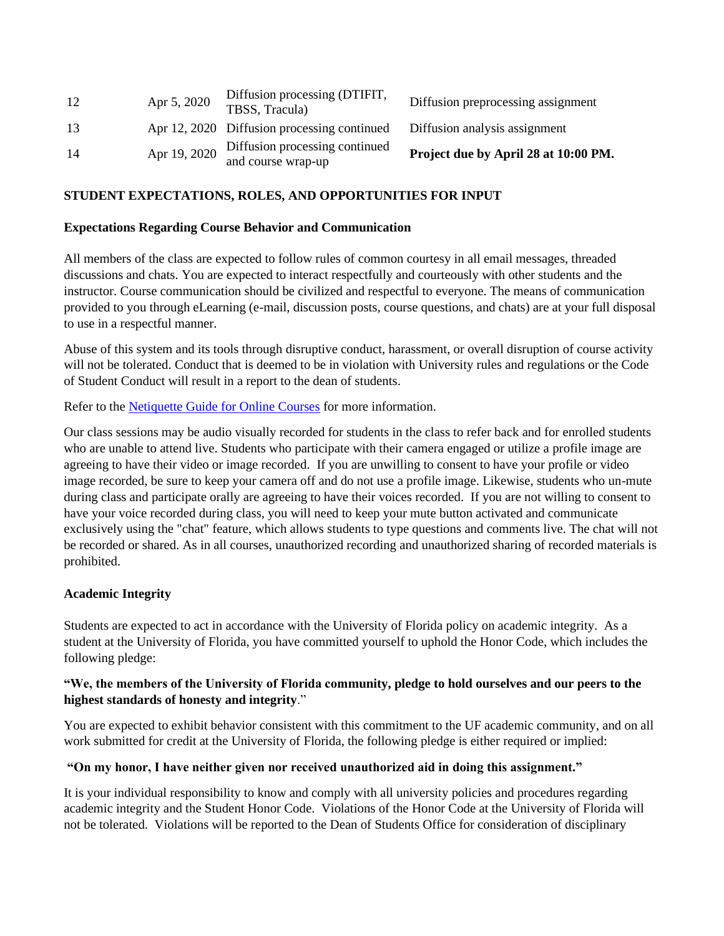| 12 | Apr 5, 2020  | Diffusion processing (DTIFIT,<br>TBSS, Tracula)                           | Diffusion preprocessing assignment   |
|----|--------------|---------------------------------------------------------------------------|--------------------------------------|
| 13 |              | Apr 12, 2020 Diffusion processing continued Diffusion analysis assignment |                                      |
| 14 | Apr 19, 2020 | Diffusion processing continued<br>and course wrap-up                      | Project due by April 28 at 10:00 PM. |

### **STUDENT EXPECTATIONS, ROLES, AND OPPORTUNITIES FOR INPUT**

#### **Expectations Regarding Course Behavior and Communication**

All members of the class are expected to follow rules of common courtesy in all email messages, threaded discussions and chats. You are expected to interact respectfully and courteously with other students and the instructor. Course communication should be civilized and respectful to everyone. The means of communication provided to you through eLearning (e-mail, discussion posts, course questions, and chats) are at your full disposal to use in a respectful manner.

Abuse of this system and its tools through disruptive conduct, harassment, or overall disruption of course activity will not be tolerated. Conduct that is deemed to be in violation with University rules and regulations or the Code of Student Conduct will result in a report to the dean of students.

Refer to the **[Netiquette Guide for Online Courses](http://teach.ufl.edu/wp-content/uploads/2012/08/NetiquetteGuideforOnlineCourses.pdf)** for more information.

Our class sessions may be audio visually recorded for students in the class to refer back and for enrolled students who are unable to attend live. Students who participate with their camera engaged or utilize a profile image are agreeing to have their video or image recorded. If you are unwilling to consent to have your profile or video image recorded, be sure to keep your camera off and do not use a profile image. Likewise, students who un-mute during class and participate orally are agreeing to have their voices recorded. If you are not willing to consent to have your voice recorded during class, you will need to keep your mute button activated and communicate exclusively using the "chat" feature, which allows students to type questions and comments live. The chat will not be recorded or shared. As in all courses, unauthorized recording and unauthorized sharing of recorded materials is prohibited.

#### **Academic Integrity**

Students are expected to act in accordance with the University of Florida policy on academic integrity. As a student at the University of Florida, you have committed yourself to uphold the Honor Code, which includes the following pledge:

### **"We, the members of the University of Florida community, pledge to hold ourselves and our peers to the highest standards of honesty and integrity**."

You are expected to exhibit behavior consistent with this commitment to the UF academic community, and on all work submitted for credit at the University of Florida, the following pledge is either required or implied:

#### **"On my honor, I have neither given nor received unauthorized aid in doing this assignment."**

It is your individual responsibility to know and comply with all university policies and procedures regarding academic integrity and the Student Honor Code. Violations of the Honor Code at the University of Florida will not be tolerated. Violations will be reported to the Dean of Students Office for consideration of disciplinary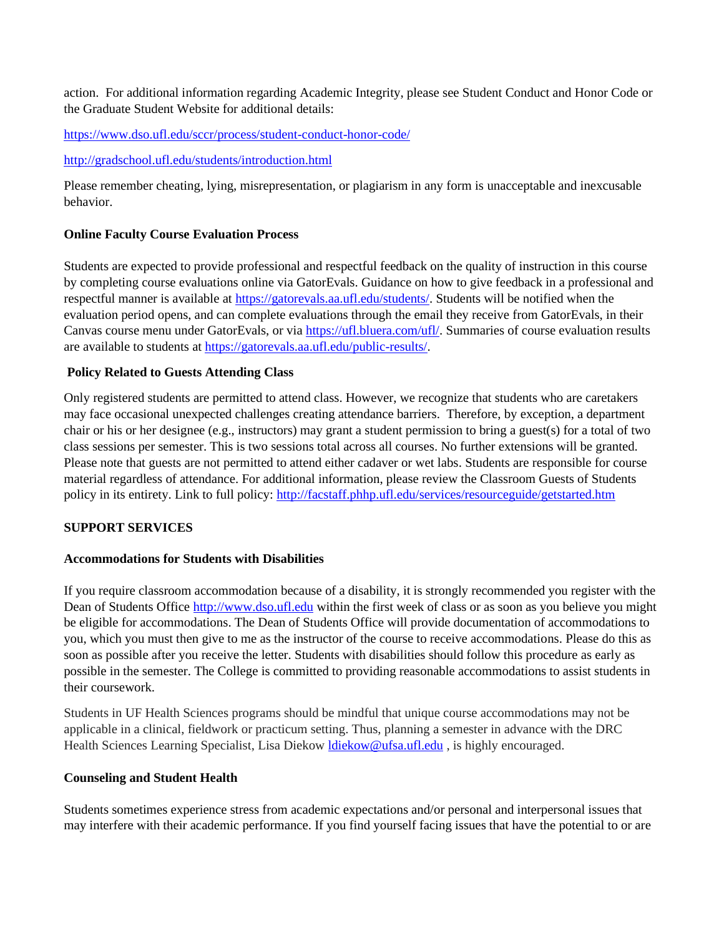action. For additional information regarding Academic Integrity, please see Student Conduct and Honor Code or the Graduate Student Website for additional details:

<https://www.dso.ufl.edu/sccr/process/student-conduct-honor-code/>

### <http://gradschool.ufl.edu/students/introduction.html>

Please remember cheating, lying, misrepresentation, or plagiarism in any form is unacceptable and inexcusable behavior.

## **Online Faculty Course Evaluation Process**

Students are expected to provide professional and respectful feedback on the quality of instruction in this course by completing course evaluations online via GatorEvals. Guidance on how to give feedback in a professional and respectful manner is available at [https://gatorevals.aa.ufl.edu/students/.](https://gatorevals.aa.ufl.edu/students/) Students will be notified when the evaluation period opens, and can complete evaluations through the email they receive from GatorEvals, in their Canvas course menu under GatorEvals, or via [https://ufl.bluera.com/ufl/.](https://urldefense.proofpoint.com/v2/url?u=https-3A__ufl.bluera.com_ufl_&d=DwMFAg&c=sJ6xIWYx-zLMB3EPkvcnVg&r=y2HjEMjRMHJhfdvLrqJZlYczRsfp5e4TfQjHuc5rVHg&m=WXko6OK_Ha6T00ZVAsEaSh99qRXHOgMNFRywCoehRho&s=itVU46DDJjnIg4CW6efJOOLgPjdzsPvCghyfzJoFONs&e=) Summaries of course evaluation results are available to students at [https://gatorevals.aa.ufl.edu/public-results/.](https://gatorevals.aa.ufl.edu/public-results/)

## **Policy Related to Guests Attending Class**

Only registered students are permitted to attend class. However, we recognize that students who are caretakers may face occasional unexpected challenges creating attendance barriers. Therefore, by exception, a department chair or his or her designee (e.g., instructors) may grant a student permission to bring a guest(s) for a total of two class sessions per semester. This is two sessions total across all courses. No further extensions will be granted. Please note that guests are not permitted to attend either cadaver or wet labs. Students are responsible for course material regardless of attendance. For additional information, please review the Classroom Guests of Students policy in its entirety. Link to full policy:<http://facstaff.phhp.ufl.edu/services/resourceguide/getstarted.htm>

## **SUPPORT SERVICES**

## **Accommodations for Students with Disabilities**

If you require classroom accommodation because of a disability, it is strongly recommended you register with the Dean of Students Office [http://www.dso.ufl.edu](http://www.dso.ufl.edu/) within the first week of class or as soon as you believe you might be eligible for accommodations. The Dean of Students Office will provide documentation of accommodations to you, which you must then give to me as the instructor of the course to receive accommodations. Please do this as soon as possible after you receive the letter. Students with disabilities should follow this procedure as early as possible in the semester. The College is committed to providing reasonable accommodations to assist students in their coursework.

Students in UF Health Sciences programs should be mindful that unique course accommodations may not be applicable in a clinical, fieldwork or practicum setting. Thus, planning a semester in advance with the DRC Health Sciences Learning Specialist, Lisa Diekow [ldiekow@ufsa.ufl.edu](mailto:ldiekow@ufsa.ufl.edu) , is highly encouraged.

### **Counseling and Student Health**

Students sometimes experience stress from academic expectations and/or personal and interpersonal issues that may interfere with their academic performance. If you find yourself facing issues that have the potential to or are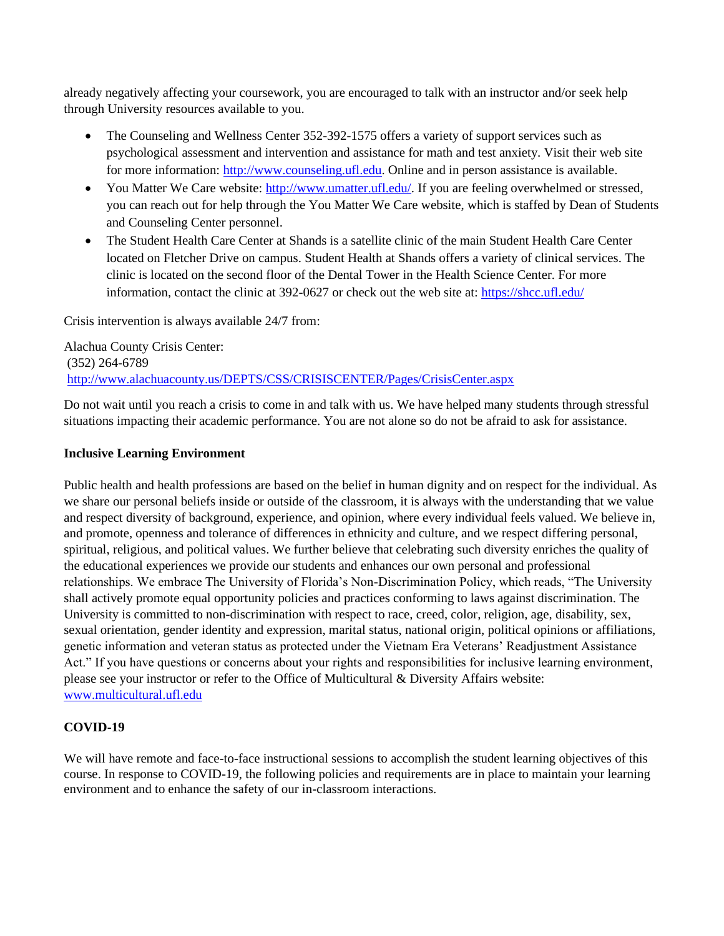already negatively affecting your coursework, you are encouraged to talk with an instructor and/or seek help through University resources available to you.

- The Counseling and Wellness Center 352-392-1575 offers a variety of support services such as psychological assessment and intervention and assistance for math and test anxiety. Visit their web site for more information: [http://www.counseling.ufl.edu.](http://www.counseling.ufl.edu/) Online and in person assistance is available.
- You Matter We Care website[: http://www.umatter.ufl.edu/.](http://www.umatter.ufl.edu/) If you are feeling overwhelmed or stressed, you can reach out for help through the You Matter We Care website, which is staffed by Dean of Students and Counseling Center personnel.
- The Student Health Care Center at Shands is a satellite clinic of the main Student Health Care Center located on Fletcher Drive on campus. Student Health at Shands offers a variety of clinical services. The clinic is located on the second floor of the Dental Tower in the Health Science Center. For more information, contact the clinic at 392-0627 or check out the web site at:<https://shcc.ufl.edu/>

Crisis intervention is always available 24/7 from:

Alachua County Crisis Center: (352) 264-6789 <http://www.alachuacounty.us/DEPTS/CSS/CRISISCENTER/Pages/CrisisCenter.aspx>

Do not wait until you reach a crisis to come in and talk with us. We have helped many students through stressful situations impacting their academic performance. You are not alone so do not be afraid to ask for assistance.

### **Inclusive Learning Environment**

Public health and health professions are based on the belief in human dignity and on respect for the individual. As we share our personal beliefs inside or outside of the classroom, it is always with the understanding that we value and respect diversity of background, experience, and opinion, where every individual feels valued. We believe in, and promote, openness and tolerance of differences in ethnicity and culture, and we respect differing personal, spiritual, religious, and political values. We further believe that celebrating such diversity enriches the quality of the educational experiences we provide our students and enhances our own personal and professional relationships. We embrace The University of Florida's Non-Discrimination Policy, which reads, "The University shall actively promote equal opportunity policies and practices conforming to laws against discrimination. The University is committed to non-discrimination with respect to race, creed, color, religion, age, disability, sex, sexual orientation, gender identity and expression, marital status, national origin, political opinions or affiliations, genetic information and veteran status as protected under the Vietnam Era Veterans' Readjustment Assistance Act." If you have questions or concerns about your rights and responsibilities for inclusive learning environment, please see your instructor or refer to the Office of Multicultural & Diversity Affairs website: [www.multicultural.ufl.edu](http://www.multicultural.ufl.edu/)

# **COVID-19**

We will have remote and face-to-face instructional sessions to accomplish the student learning objectives of this course. In response to COVID-19, the following policies and requirements are in place to maintain your learning environment and to enhance the safety of our in-classroom interactions.